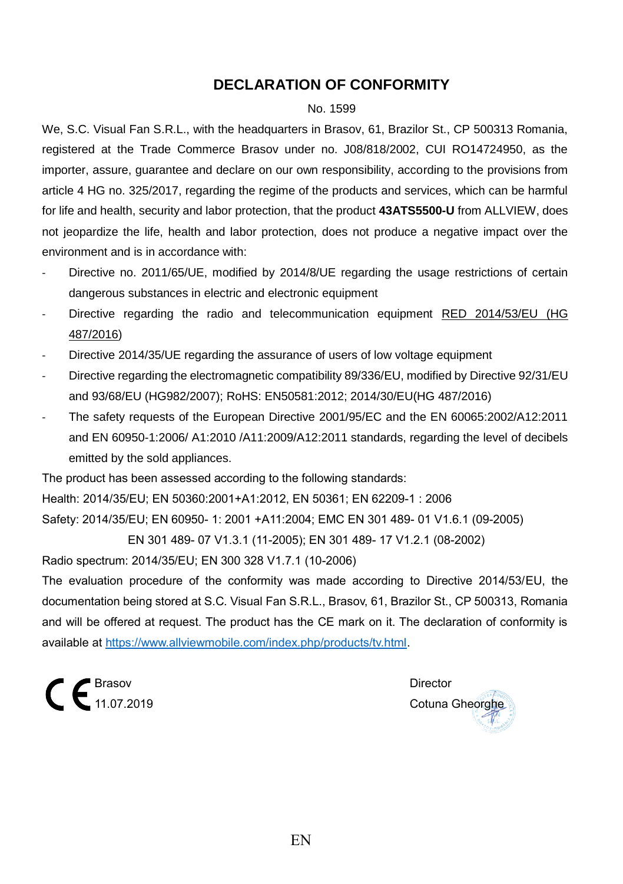## **DECLARATION OF CONFORMITY**

#### No. 1599

We, S.C. Visual Fan S.R.L., with the headquarters in Brasov, 61, Brazilor St., CP 500313 Romania, registered at the Trade Commerce Brasov under no. J08/818/2002, CUI RO14724950, as the importer, assure, guarantee and declare on our own responsibility, according to the provisions from article 4 HG no. 325/2017, regarding the regime of the products and services, which can be harmful for life and health, security and labor protection, that the product **43ATS5500-U** from ALLVIEW, does not jeopardize the life, health and labor protection, does not produce a negative impact over the environment and is in accordance with:

- Directive no. 2011/65/UE, modified by 2014/8/UE regarding the usage restrictions of certain dangerous substances in electric and electronic equipment
- Directive regarding the radio and telecommunication equipment RED 2014/53/EU (HG 487/2016)
- Directive 2014/35/UE regarding the assurance of users of low voltage equipment
- Directive regarding the electromagnetic compatibility 89/336/EU, modified by Directive 92/31/EU and 93/68/EU (HG982/2007); RoHS: EN50581:2012; 2014/30/EU(HG 487/2016)
- The safety requests of the European Directive 2001/95/EC and the EN 60065:2002/A12:2011 and EN 60950-1:2006/ A1:2010 /A11:2009/A12:2011 standards, regarding the level of decibels emitted by the sold appliances.

The product has been assessed according to the following standards: Health: 2014/35/EU; EN 50360:2001+A1:2012, EN 50361; EN 62209-1 : 2006 Safety: 2014/35/EU; EN 60950- 1: 2001 +A11:2004; EMC EN 301 489- 01 V1.6.1 (09-2005)

EN 301 489- 07 V1.3.1 (11-2005); EN 301 489- 17 V1.2.1 (08-2002)

Radio spectrum: 2014/35/EU; EN 300 328 V1.7.1 (10-2006)

The evaluation procedure of the conformity was made according to Directive 2014/53/EU, the documentation being stored at S.C. Visual Fan S.R.L., Brasov, 61, Brazilor St., CP 500313, Romania and will be offered at request. The product has the CE mark on it. The declaration of conformity is available at [https://www.allviewmobile.com/index.php/products/tv.html.](https://www.allviewmobile.com/index.php/products/tv.html)

 $\epsilon$  Brasov Director Director

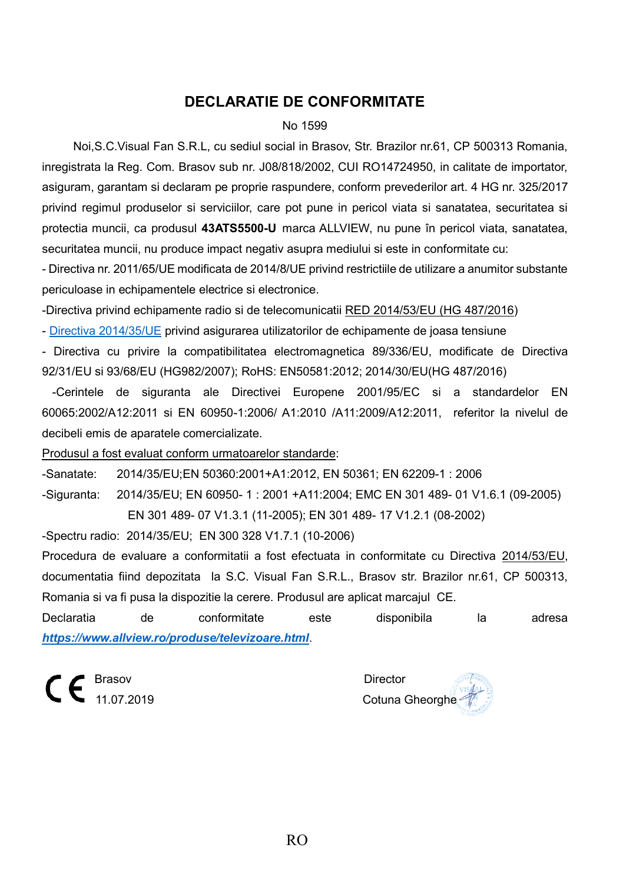## **DECLARATIE DE CONFORMITATE**

#### No 1599

Noi,S.C.Visual Fan S.R.L, cu sediul social in Brasov, Str. Brazilor nr.61, CP 500313 Romania, inregistrata la Reg. Com. Brasov sub nr. J08/818/2002, CUI RO14724950, in calitate de importator, asiguram, garantam si declaram pe proprie raspundere, conform prevederilor art. 4 HG nr. 325/2017 privind regimul produselor si serviciilor, care pot pune in pericol viata si sanatatea, securitatea si protectia muncii, ca produsul **43ATS5500-U** marca ALLVIEW, nu pune în pericol viata, sanatatea, securitatea muncii, nu produce impact negativ asupra mediului si este in conformitate cu:

- Directiva nr. 2011/65/UE modificata de 2014/8/UE privind restrictiile de utilizare a anumitor substante periculoase in echipamentele electrice si electronice.

-Directiva privind echipamente radio si de telecomunicatii RED 2014/53/EU (HG 487/2016)

- [Directiva 2014/35/UE](https://www.legisplus.ro/Intralegis6/oficiale/afis.php?f=179242&diez=A28&link=0) privind asigurarea utilizatorilor de echipamente de joasa tensiune

- Directiva cu privire la compatibilitatea electromagnetica 89/336/EU, modificate de Directiva 92/31/EU si 93/68/EU (HG982/2007); RoHS: EN50581:2012; 2014/30/EU(HG 487/2016)

 -Cerintele de siguranta ale Directivei Europene 2001/95/EC si a standardelor EN 60065:2002/A12:2011 si EN 60950-1:2006/ A1:2010 /A11:2009/A12:2011, referitor la nivelul de decibeli emis de aparatele comercializate.

Produsul a fost evaluat conform urmatoarelor standarde:

-Sanatate: 2014/35/EU;EN 50360:2001+A1:2012, EN 50361; EN 62209-1 : 2006 -Siguranta: 2014/35/EU; EN 60950- 1 : 2001 +A11:2004; EMC EN 301 489- 01 V1.6.1 (09-2005) EN 301 489- 07 V1.3.1 (11-2005); EN 301 489- 17 V1.2.1 (08-2002)

-Spectru radio: 2014/35/EU; EN 300 328 V1.7.1 (10-2006)

Procedura de evaluare a conformitatii a fost efectuata in conformitate cu Directiva 2014/53/EU, documentatia fiind depozitata la S.C. Visual Fan S.R.L., Brasov str. Brazilor nr.61, CP 500313, Romania si va fi pusa la dispozitie la cerere. Produsul are aplicat marcajul CE.

Declaratia de conformitate este disponibila la adresa *<https://www.allview.ro/produse/televizoare.html>*.

 $\mathsf{C} \in \mathsf{B}^{\text{Brasov}}$  Director

Cotuna Gheorghe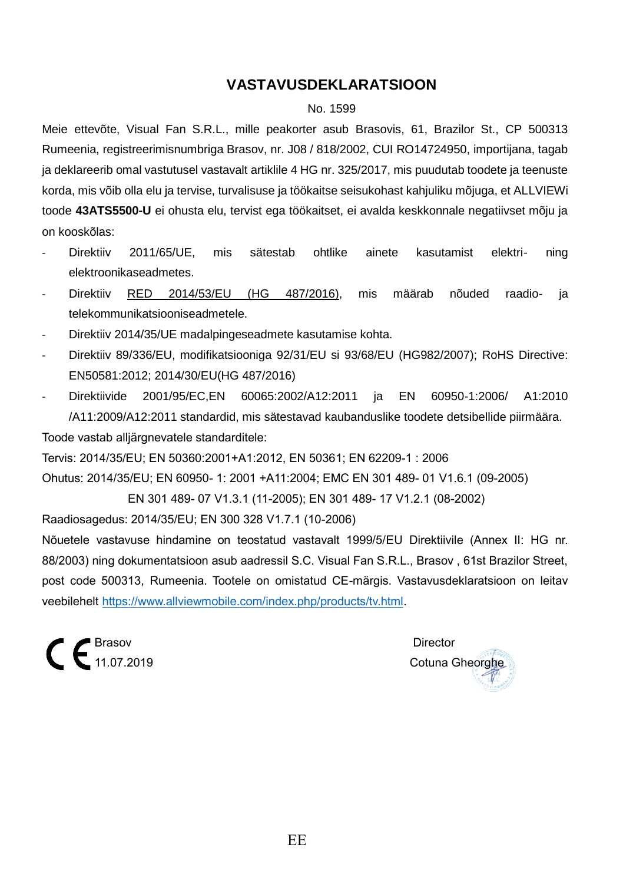## **VASTAVUSDEKLARATSIOON**

#### No. 1599

Meie ettevõte, Visual Fan S.R.L., mille peakorter asub Brasovis, 61, Brazilor St., CP 500313 Rumeenia, registreerimisnumbriga Brasov, nr. J08 / 818/2002, CUI RO14724950, importijana, tagab ja deklareerib omal vastutusel vastavalt artiklile 4 HG nr. 325/2017, mis puudutab toodete ja teenuste korda, mis võib olla elu ja tervise, turvalisuse ja töökaitse seisukohast kahjuliku mõjuga, et ALLVIEWi toode **43ATS5500-U** ei ohusta elu, tervist ega töökaitset, ei avalda keskkonnale negatiivset mõju ja on kooskõlas:

- Direktiiv 2011/65/UE, mis sätestab ohtlike ainete kasutamist elektri- ning elektroonikaseadmetes.
- Direktiiv RED 2014/53/EU (HG 487/2016), mis määrab nõuded raadio- ja telekommunikatsiooniseadmetele.
- Direktiiv 2014/35/UE madalpingeseadmete kasutamise kohta.
- Direktiiv 89/336/EU, modifikatsiooniga 92/31/EU si 93/68/EU (HG982/2007); RoHS Directive: EN50581:2012; 2014/30/EU(HG 487/2016)
- Direktiivide 2001/95/EC,EN 60065:2002/A12:2011 ja EN 60950-1:2006/ A1:2010 /A11:2009/A12:2011 standardid, mis sätestavad kaubanduslike toodete detsibellide piirmäära.

Toode vastab alljärgnevatele standarditele:

Tervis: 2014/35/EU; EN 50360:2001+A1:2012, EN 50361; EN 62209-1 : 2006

Ohutus: 2014/35/EU; EN 60950- 1: 2001 +A11:2004; EMC EN 301 489- 01 V1.6.1 (09-2005)

EN 301 489- 07 V1.3.1 (11-2005); EN 301 489- 17 V1.2.1 (08-2002)

Raadiosagedus: 2014/35/EU; EN 300 328 V1.7.1 (10-2006)

Nõuetele vastavuse hindamine on teostatud vastavalt 1999/5/EU Direktiivile (Annex II: HG nr. 88/2003) ning dokumentatsioon asub aadressil S.C. Visual Fan S.R.L., Brasov , 61st Brazilor Street, post code 500313, Rumeenia. Tootele on omistatud CE-märgis. Vastavusdeklaratsioon on leitav veebilehelt [https://www.allviewmobile.com/index.php/products/tv.html.](https://www.allviewmobile.com/index.php/products/tv.html)

 $\epsilon$   $\epsilon$ <sup>Brasov</sup> Director Director Director

Cotuna Gheorghe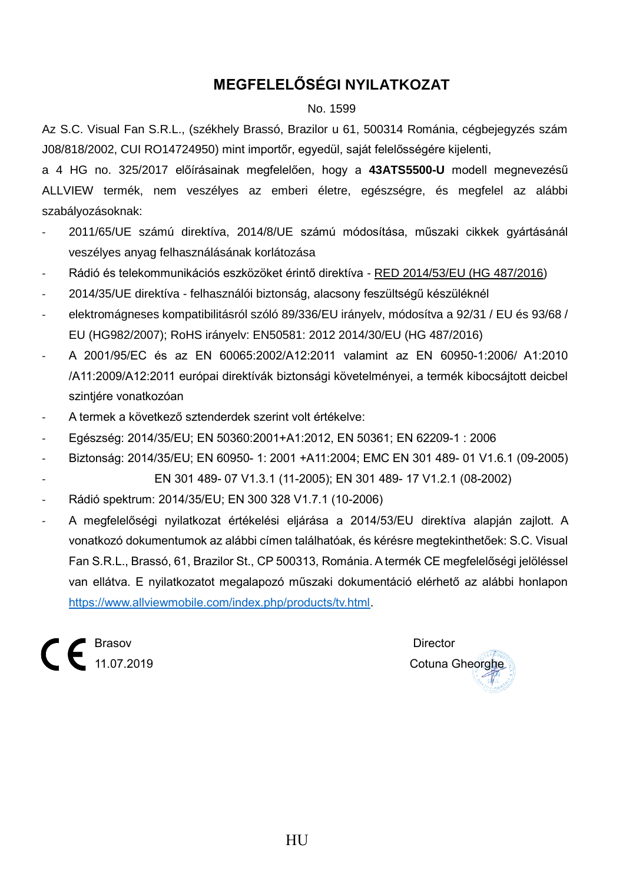# **MEGFELELŐSÉGI NYILATKOZAT**

#### No. 1599

Az S.C. Visual Fan S.R.L., (székhely Brassó, Brazilor u 61, 500314 Románia, cégbejegyzés szám J08/818/2002, CUI RO14724950) mint importőr, egyedül, saját felelősségére kijelenti,

a 4 HG no. 325/2017 előírásainak megfelelően, hogy a **43ATS5500-U** modell megnevezésű ALLVIEW termék, nem veszélyes az emberi életre, egészségre, és megfelel az alábbi szabályozásoknak:

- 2011/65/UE számú direktíva, 2014/8/UE számú módosítása, műszaki cikkek gyártásánál veszélyes anyag felhasználásának korlátozása
- Rádió és telekommunikációs eszközöket érintő direktíva RED 2014/53/EU (HG 487/2016)
- 2014/35/UE direktíva felhasználói biztonság, alacsony feszültségű készüléknél
- elektromágneses kompatibilitásról szóló 89/336/EU irányelv, módosítva a 92/31 / EU és 93/68 / EU (HG982/2007); RoHS irányelv: EN50581: 2012 2014/30/EU (HG 487/2016)
- A 2001/95/EC és az EN 60065:2002/A12:2011 valamint az EN 60950-1:2006/ A1:2010 /A11:2009/A12:2011 európai direktívák biztonsági követelményei, a termék kibocsájtott deicbel szintjére vonatkozóan
- A termek a következő sztenderdek szerint volt értékelve:
- Egészség: 2014/35/EU; EN 50360:2001+A1:2012, EN 50361; EN 62209-1 : 2006
- Biztonság: 2014/35/EU; EN 60950- 1: 2001 +A11:2004; EMC EN 301 489- 01 V1.6.1 (09-2005)
	- EN 301 489- 07 V1.3.1 (11-2005); EN 301 489- 17 V1.2.1 (08-2002)
- Rádió spektrum: 2014/35/EU; EN 300 328 V1.7.1 (10-2006)
- A megfelelőségi nyilatkozat értékelési eljárása a 2014/53/EU direktíva alapján zajlott. A vonatkozó dokumentumok az alábbi címen találhatóak, és kérésre megtekinthetőek: S.C. Visual Fan S.R.L., Brassó, 61, Brazilor St., CP 500313, Románia. A termék CE megfelelőségi jelöléssel van ellátva. E nyilatkozatot megalapozó műszaki dokumentáció elérhető az alábbi honlapon [https://www.allviewmobile.com/index.php/products/tv.html.](https://www.allviewmobile.com/index.php/products/tv.html)

 $\mathcal{L}$   $\boldsymbol{\epsilon}$  Brasov Director Director

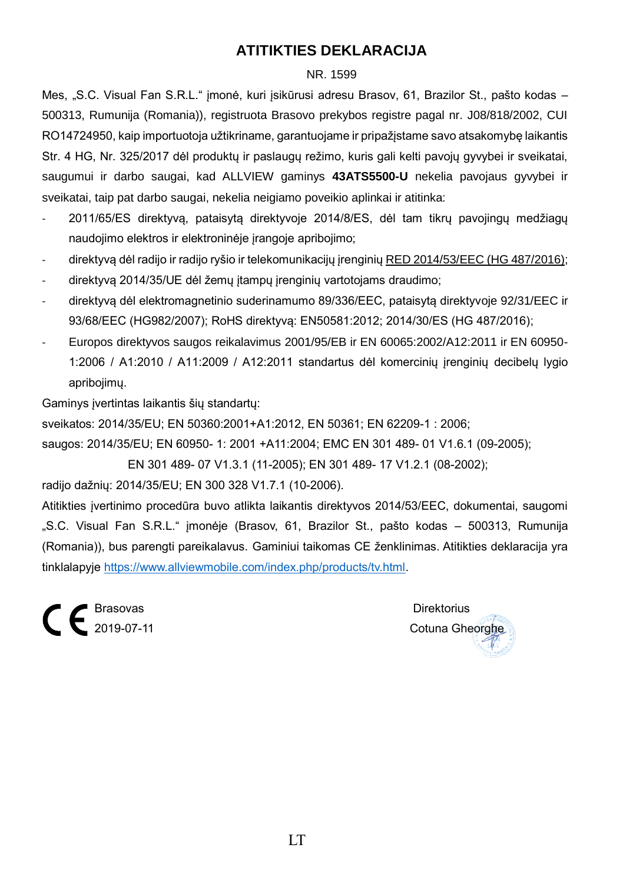## **ATITIKTIES DEKLARACIJA**

#### NR. 1599

Mes, "S.C. Visual Fan S.R.L." įmonė, kuri įsikūrusi adresu Brasov, 61, Brazilor St., pašto kodas – 500313, Rumunija (Romania)), registruota Brasovo prekybos registre pagal nr. J08/818/2002, CUI RO14724950, kaip importuotoja užtikriname, garantuojame ir pripažįstame savo atsakomybę laikantis Str. 4 HG, Nr. 325/2017 dėl produktų ir paslaugų režimo, kuris gali kelti pavojų gyvybei ir sveikatai, saugumui ir darbo saugai, kad ALLVIEW gaminys **43ATS5500-U** nekelia pavojaus gyvybei ir sveikatai, taip pat darbo saugai, nekelia neigiamo poveikio aplinkai ir atitinka:

- 2011/65/ES direktyvą, pataisytą direktyvoje 2014/8/ES, dėl tam tikrų pavojingų medžiagų naudojimo elektros ir elektroninėje įrangoje apribojimo;
- direktyvą dėl radijo ir radijo ryšio ir telekomunikacijų įrenginių RED 2014/53/EEC (HG 487/2016);
- direktyvą 2014/35/UE dėl žemų įtampų įrenginių vartotojams draudimo;
- direktyvą dėl elektromagnetinio suderinamumo 89/336/EEC, pataisytą direktyvoje 92/31/EEC ir 93/68/EEC (HG982/2007); RoHS direktyvą: EN50581:2012; 2014/30/ES (HG 487/2016);
- Europos direktyvos saugos reikalavimus 2001/95/EB ir EN 60065:2002/A12:2011 ir EN 60950- 1:2006 / A1:2010 / A11:2009 / A12:2011 standartus dėl komercinių įrenginių decibelų lygio apribojimų.

Gaminys įvertintas laikantis šių standartų:

sveikatos: 2014/35/EU; EN 50360:2001+A1:2012, EN 50361; EN 62209-1 : 2006;

saugos: 2014/35/EU; EN 60950- 1: 2001 +A11:2004; EMC EN 301 489- 01 V1.6.1 (09-2005);

EN 301 489- 07 V1.3.1 (11-2005); EN 301 489- 17 V1.2.1 (08-2002);

radijo dažnių: 2014/35/EU; EN 300 328 V1.7.1 (10-2006).

Atitikties įvertinimo procedūra buvo atlikta laikantis direktyvos 2014/53/EEC, dokumentai, saugomi "S.C. Visual Fan S.R.L." įmonėje (Brasov, 61, Brazilor St., pašto kodas – 500313, Rumunija (Romania)), bus parengti pareikalavus. Gaminiui taikomas CE ženklinimas. Atitikties deklaracija yra tinklalapyje [https://www.allviewmobile.com/index.php/products/tv.html.](https://www.allviewmobile.com/index.php/products/tv.html)

E Brasovas Direktorius<br>
2019-07-11 Cotuna Ghe

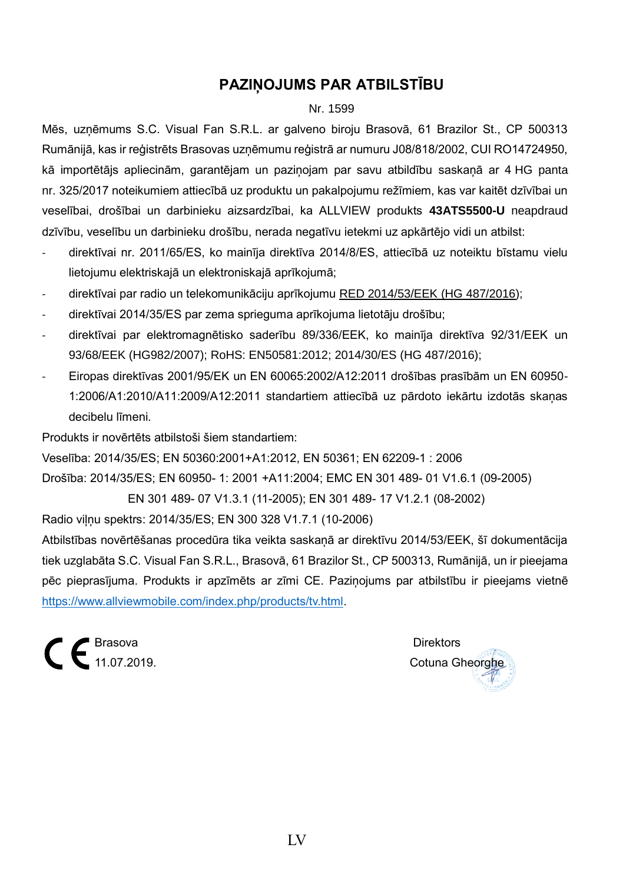## **PAZIŅOJUMS PAR ATBILSTĪBU**

#### Nr. 1599

Mēs, uzņēmums S.C. Visual Fan S.R.L. ar galveno biroju Brasovā, 61 Brazilor St., CP 500313 Rumānijā, kas ir reģistrēts Brasovas uzņēmumu reģistrā ar numuru J08/818/2002, CUI RO14724950, kā importētājs apliecinām, garantējam un paziņojam par savu atbildību saskaņā ar 4 HG panta nr. 325/2017 noteikumiem attiecībā uz produktu un pakalpojumu režīmiem, kas var kaitēt dzīvībai un veselībai, drošībai un darbinieku aizsardzībai, ka ALLVIEW produkts **43ATS5500-U** neapdraud dzīvību, veselību un darbinieku drošību, nerada negatīvu ietekmi uz apkārtējo vidi un atbilst:

- direktīvai nr. 2011/65/ES, ko mainīja direktīva 2014/8/ES, attiecībā uz noteiktu bīstamu vielu lietojumu elektriskajā un elektroniskajā aprīkojumā;
- direktīvai par radio un telekomunikāciju aprīkojumu RED 2014/53/EEK (HG 487/2016);
- direktīvai 2014/35/ES par zema sprieguma aprīkojuma lietotāju drošību;
- direktīvai par elektromagnētisko saderību 89/336/EEK, ko mainīja direktīva 92/31/EEK un 93/68/EEK (HG982/2007); RoHS: EN50581:2012; 2014/30/ES (HG 487/2016);
- Eiropas direktīvas 2001/95/EK un EN 60065:2002/A12:2011 drošības prasībām un EN 60950- 1:2006/A1:2010/A11:2009/A12:2011 standartiem attiecībā uz pārdoto iekārtu izdotās skaņas decibelu līmeni.

Produkts ir novērtēts atbilstoši šiem standartiem:

Veselība: 2014/35/ES; EN 50360:2001+A1:2012, EN 50361; EN 62209-1 : 2006

Drošība: 2014/35/ES; EN 60950- 1: 2001 +A11:2004; EMC EN 301 489- 01 V1.6.1 (09-2005)

EN 301 489- 07 V1.3.1 (11-2005); EN 301 489- 17 V1.2.1 (08-2002)

Radio viļņu spektrs: 2014/35/ES; EN 300 328 V1.7.1 (10-2006)

Atbilstības novērtēšanas procedūra tika veikta saskaņā ar direktīvu 2014/53/EEK, šī dokumentācija tiek uzglabāta S.C. Visual Fan S.R.L., Brasovā, 61 Brazilor St., CP 500313, Rumānijā, un ir pieejama pēc pieprasījuma. Produkts ir apzīmēts ar zīmi CE. Paziņojums par atbilstību ir pieejams vietnē [https://www.allviewmobile.com/index.php/products/tv.html.](https://www.allviewmobile.com/index.php/products/tv.html)

 $\mathsf{C}\in \mathsf{B}^{\text{Brasova}}$  Direktors Direktors Direktors Direktors Direktors Direktors Direktors Direktors Direktors Direktors Direktors Direktors Direktors Direktors Direktors Direktors Direktors Direktors Direktors Direkto

Cotuna Gheorghe